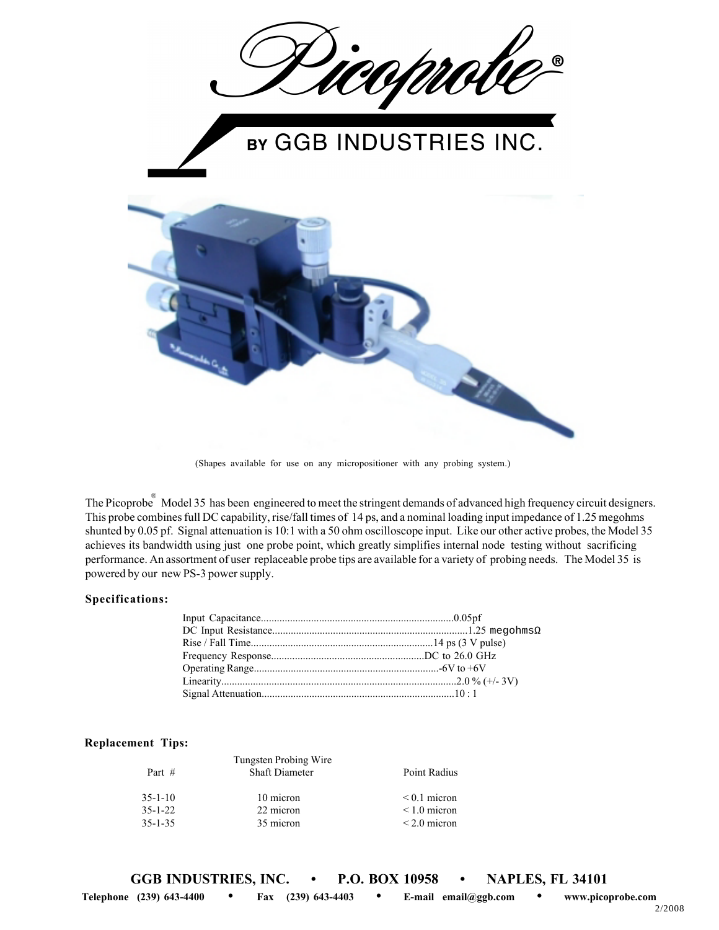

(Shapes available for use on any micropositioner with any probing system.)

The Picoprobe<sup>®</sup> Model 35 has been engineered to meet the stringent demands of advanced high frequency circuit designers. This probe combines full DC capability, rise/fall times of 14 ps, and a nominal loading input impedance of 1.25 megohms shunted by 0.05 pf. Signal attenuation is 10:1 with a 50 ohm oscilloscope input. Like our other active probes, the Model 35 achieves its bandwidth using just one probe point, which greatly simplifies internal node testing without sacrificing performance. An assortment of user replaceable probe tips are available for a variety of probing needs. The Model 35 is powered by our new PS-3 power supply.

## **Specifications:**

## **Replacement Tips:**

|               | Tungsten Probing Wire |                   |
|---------------|-----------------------|-------------------|
| Part $#$      | <b>Shaft Diameter</b> | Point Radius      |
|               |                       |                   |
| $35 - 1 - 10$ | 10 micron             | $\leq 0.1$ micron |
| $35 - 1 - 22$ | 22 micron             | $\leq 1.0$ micron |
| $35 - 1 - 35$ | 35 micron             | $\leq$ 2.0 micron |
|               |                       |                   |